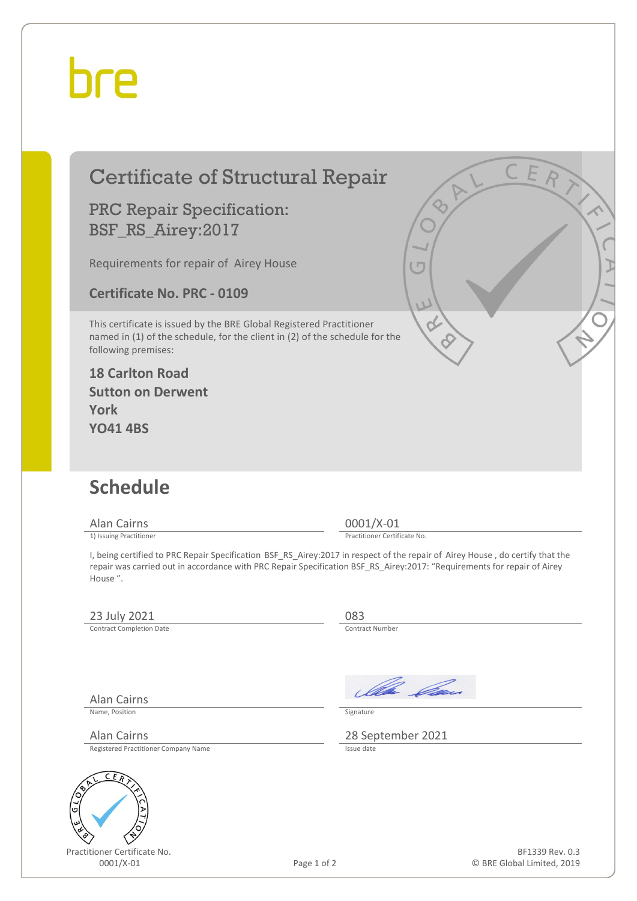## hre

## Certificate of Structural Repair PRC Repair Specification: BSF\_RS\_Airey:2017 Requirements for repair of Airey House **Certificate No. PRC - 0109** This certificate is issued by the BRE Global Registered Practitioner named in (1) of the schedule, for the client in (2) of the schedule for the following premises: **18 Carlton Road Sutton on Derwent York YO41 4BS Schedule** Alan Cairns 0001/X-01<br>
1) Issuing Practitioner<br>
1) Issuing Practitioner Practitioner Certificate No. I, being certified to PRC Repair Specification BSF\_RS\_Airey:2017 in respect of the repair of Airey House , do certify that the repair was carried out in accordance with PRC Repair Specification BSF\_RS\_Airey:2017: "Requirements for repair of Airey House ". 23 July 2021 083<br>
Contract Completion Date Contract Completion Date Ila *Ca*n Alan Cairns Name, Position Signature

Alan Cairns 28 September 2021

Registered Practitioner Company Name



Practitioner Certificate No.